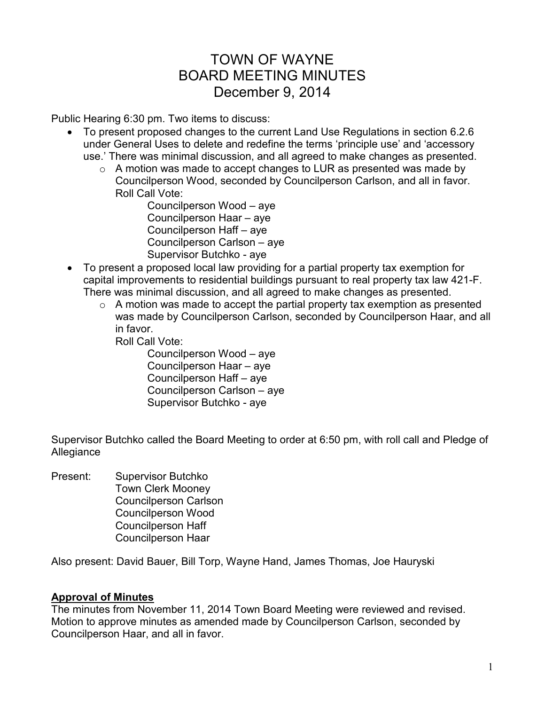# TOWN OF WAYNE BOARD MEETING MINUTES December 9, 2014

Public Hearing 6:30 pm. Two items to discuss:

- To present proposed changes to the current Land Use Regulations in section 6.2.6 under General Uses to delete and redefine the terms 'principle use' and 'accessory use.' There was minimal discussion, and all agreed to make changes as presented.
	- $\circ$  A motion was made to accept changes to LUR as presented was made by Councilperson Wood, seconded by Councilperson Carlson, and all in favor. Roll Call Vote:

 Councilperson Wood – aye Councilperson Haar – aye Councilperson Haff – aye Councilperson Carlson – aye Supervisor Butchko - aye

- To present a proposed local law providing for a partial property tax exemption for capital improvements to residential buildings pursuant to real property tax law 421-F. There was minimal discussion, and all agreed to make changes as presented.
	- $\circ$  A motion was made to accept the partial property tax exemption as presented was made by Councilperson Carlson, seconded by Councilperson Haar, and all in favor.

Roll Call Vote:

 Councilperson Wood – aye Councilperson Haar – aye Councilperson Haff – aye Councilperson Carlson – aye Supervisor Butchko - aye

Supervisor Butchko called the Board Meeting to order at 6:50 pm, with roll call and Pledge of Allegiance

Present: Supervisor Butchko Town Clerk Mooney Councilperson Carlson Councilperson Wood Councilperson Haff Councilperson Haar

Also present: David Bauer, Bill Torp, Wayne Hand, James Thomas, Joe Hauryski

# **Approval of Minutes**

The minutes from November 11, 2014 Town Board Meeting were reviewed and revised. Motion to approve minutes as amended made by Councilperson Carlson, seconded by Councilperson Haar, and all in favor.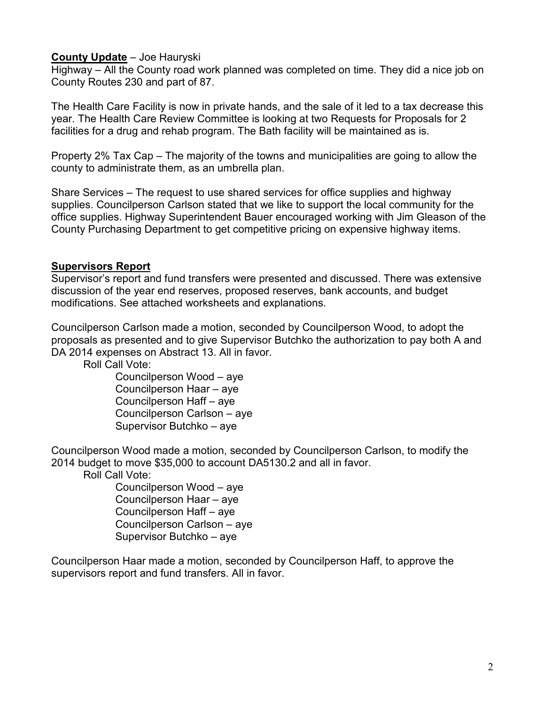## **County Update** – Joe Hauryski

Highway – All the County road work planned was completed on time. They did a nice job on County Routes 230 and part of 87.

The Health Care Facility is now in private hands, and the sale of it led to a tax decrease this year. The Health Care Review Committee is looking at two Requests for Proposals for 2 facilities for a drug and rehab program. The Bath facility will be maintained as is.

Property 2% Tax Cap – The majority of the towns and municipalities are going to allow the county to administrate them, as an umbrella plan.

Share Services – The request to use shared services for office supplies and highway supplies. Councilperson Carlson stated that we like to support the local community for the office supplies. Highway Superintendent Bauer encouraged working with Jim Gleason of the County Purchasing Department to get competitive pricing on expensive highway items.

# **Supervisors Report**

Supervisor's report and fund transfers were presented and discussed. There was extensive discussion of the year end reserves, proposed reserves, bank accounts, and budget modifications. See attached worksheets and explanations.

Councilperson Carlson made a motion, seconded by Councilperson Wood, to adopt the proposals as presented and to give Supervisor Butchko the authorization to pay both A and DA 2014 expenses on Abstract 13. All in favor.

Roll Call Vote:

Councilperson Wood – aye Councilperson Haar – aye Councilperson Haff – aye Councilperson Carlson – aye Supervisor Butchko – aye

Councilperson Wood made a motion, seconded by Councilperson Carlson, to modify the 2014 budget to move \$35,000 to account DA5130.2 and all in favor.

Roll Call Vote:

Councilperson Wood – aye Councilperson Haar – aye Councilperson Haff – aye Councilperson Carlson – aye Supervisor Butchko – aye

Councilperson Haar made a motion, seconded by Councilperson Haff, to approve the supervisors report and fund transfers. All in favor.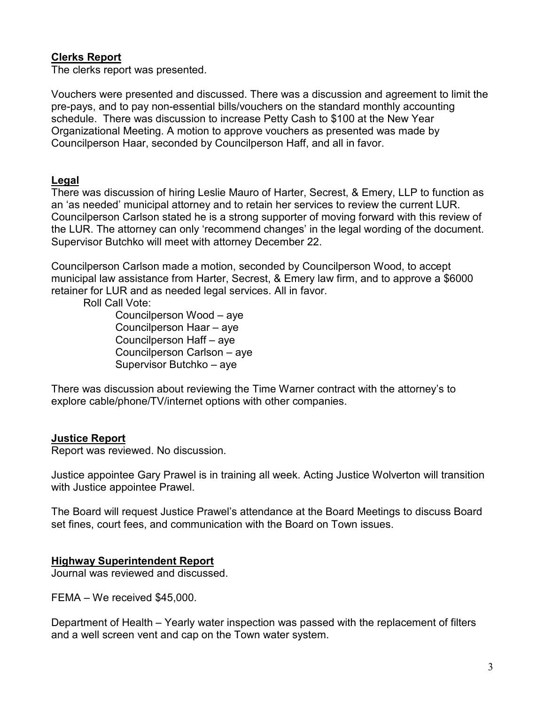# **Clerks Report**

The clerks report was presented.

Vouchers were presented and discussed. There was a discussion and agreement to limit the pre-pays, and to pay non-essential bills/vouchers on the standard monthly accounting schedule. There was discussion to increase Petty Cash to \$100 at the New Year Organizational Meeting. A motion to approve vouchers as presented was made by Councilperson Haar, seconded by Councilperson Haff, and all in favor.

## **Legal**

There was discussion of hiring Leslie Mauro of Harter, Secrest, & Emery, LLP to function as an 'as needed' municipal attorney and to retain her services to review the current LUR. Councilperson Carlson stated he is a strong supporter of moving forward with this review of the LUR. The attorney can only 'recommend changes' in the legal wording of the document. Supervisor Butchko will meet with attorney December 22.

Councilperson Carlson made a motion, seconded by Councilperson Wood, to accept municipal law assistance from Harter, Secrest, & Emery law firm, and to approve a \$6000 retainer for LUR and as needed legal services. All in favor.

Roll Call Vote:

Councilperson Wood – aye Councilperson Haar – aye Councilperson Haff – aye Councilperson Carlson – aye Supervisor Butchko – aye

There was discussion about reviewing the Time Warner contract with the attorney's to explore cable/phone/TV/internet options with other companies.

## **Justice Report**

Report was reviewed. No discussion.

Justice appointee Gary Prawel is in training all week. Acting Justice Wolverton will transition with Justice appointee Prawel.

The Board will request Justice Prawel's attendance at the Board Meetings to discuss Board set fines, court fees, and communication with the Board on Town issues.

# **Highway Superintendent Report**

Journal was reviewed and discussed.

FEMA – We received \$45,000.

Department of Health – Yearly water inspection was passed with the replacement of filters and a well screen vent and cap on the Town water system.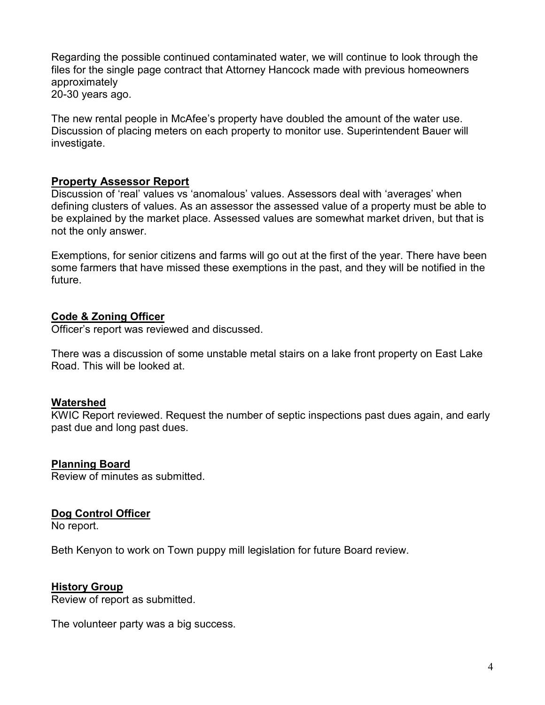Regarding the possible continued contaminated water, we will continue to look through the files for the single page contract that Attorney Hancock made with previous homeowners approximately 20-30 years ago.

The new rental people in McAfee's property have doubled the amount of the water use. Discussion of placing meters on each property to monitor use. Superintendent Bauer will investigate.

## **Property Assessor Report**

Discussion of 'real' values vs 'anomalous' values. Assessors deal with 'averages' when defining clusters of values. As an assessor the assessed value of a property must be able to be explained by the market place. Assessed values are somewhat market driven, but that is not the only answer.

Exemptions, for senior citizens and farms will go out at the first of the year. There have been some farmers that have missed these exemptions in the past, and they will be notified in the future.

## **Code & Zoning Officer**

Officer's report was reviewed and discussed.

There was a discussion of some unstable metal stairs on a lake front property on East Lake Road. This will be looked at.

## **Watershed**

KWIC Report reviewed. Request the number of septic inspections past dues again, and early past due and long past dues.

## **Planning Board**

Review of minutes as submitted.

## **Dog Control Officer**

No report.

Beth Kenyon to work on Town puppy mill legislation for future Board review.

## **History Group**

Review of report as submitted.

The volunteer party was a big success.